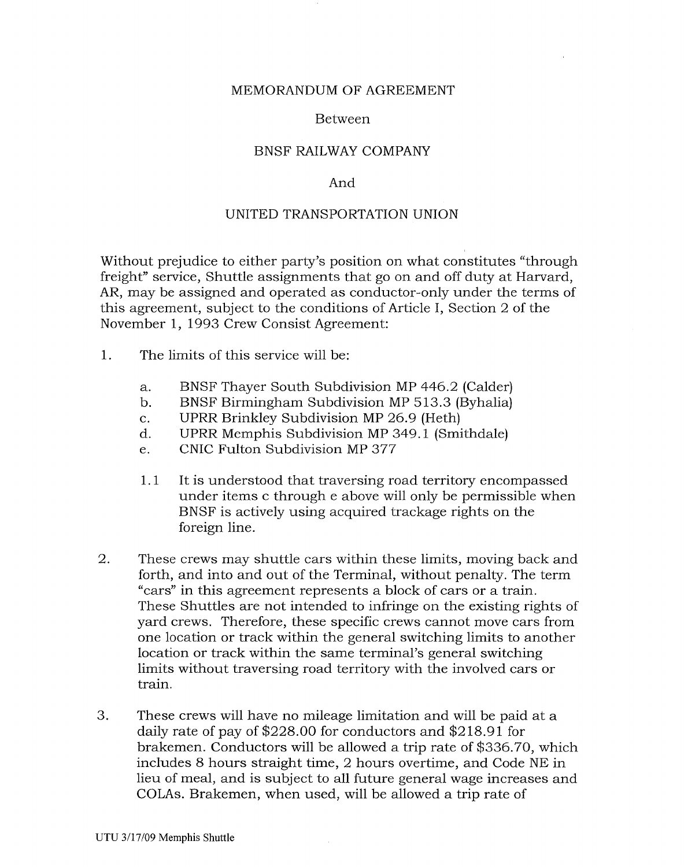## MEMORANDUM OF AGREEMENT

#### Between

## BNSF RAILWAY COMPANY

## And

# UNITED TRANSPORTATION UNION

Without prejudice to either party's position on what constitutes "through freight" service, Shuttle assignments that go on and off duty at Harvard, AR, may be assigned and operated as conductor-only under the terms of this agreement, subject to the conditions of Article I, Section 2 of the November 1, 1993 Crew Consist Agreement:

- 1. The limits of this service will be:
	- a. BNSF Thayer South Subdivision MP 446.2 (Calder)
	- b. BNSF Birmingham Subdivision MP 513.3 (Byhalia)
	- c. UPRR Brinkley Subdivision MP 26.9 (Heth)
	- d. UPRR Memphis Subdivision MP 349.1 (Smithdale)
	- e. CNIC Fulton Subdivision MP 377
	- 1.1 It is understood that traversing road territory encompassed under items c through e above will only be permissible when BNSF is actively using acquired trackage rights on the foreign line.
- 2. These crews may shuttle cars within these limits, moving back and forth, and into and out of the Terminal, without penalty. The term "cars" in this agreement represents a block of cars or a train. These Shuttles are not intended to infringe on the existing rights of yard crews. Therefore, these specific crews cannot move cars from one location or track within the general switching limits to another location or track within the same terminal's general switching limits without traversing road territory with the involved cars or train.
- 3. These crews will have no mileage limitation and will be paid at a daily rate of pay of \$228.00 for conductors and \$218.91 for brakemen. Conductors will be allowed a trip rate of \$336.70, which includes 8 hours straight time, 2 hours overtime, and Code NE in lieu of meal, and is subject to all future general wage increases and COLAs. Brakemen, when used, will be allowed a trip rate of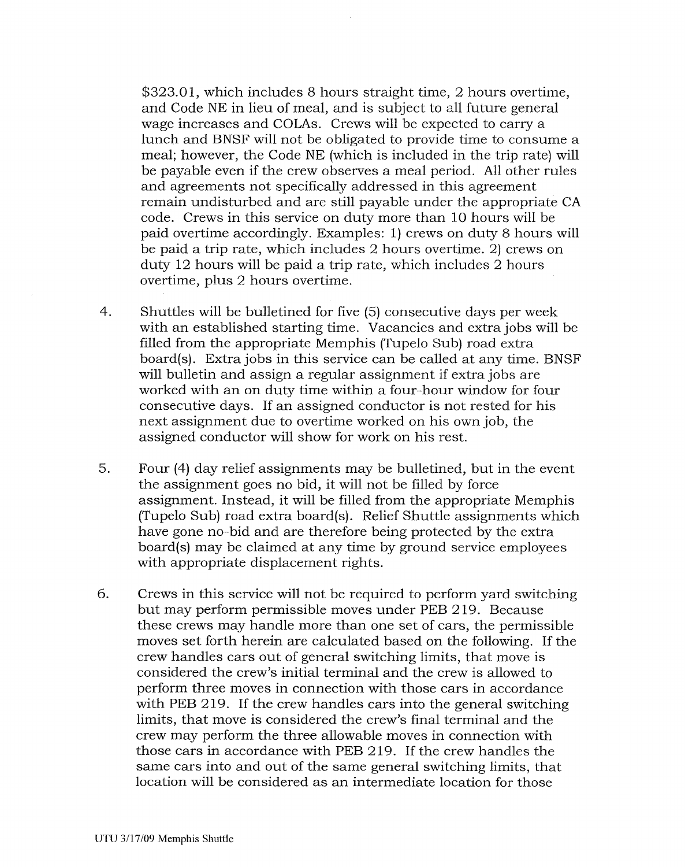\$323.01, which includes 8 hours straight time, 2 hours overtime, and Code NE in lieu of meal, and is subject to all future general wage increases and COLAs. Crews will be expected to carry a lunch and BNSF will not be obligated to provide time to consume a meal; however, the Code NE (which is included in the trip rate) will be payable even if the crew observes a meal period. All other rules and agreements not specifically addressed in this agreement remain undisturbed and are still payable under the appropriate CA code. Crews in this service on duty more than 10 hours will be paid overtime accordingly. Examples: 1) crews on duty 8 hours will be paid a trip rate, which includes 2 hours overtime. 2) crews on duty 12 hours will be paid a trip rate, which includes 2 hours overtime, plus 2 hours overtime.

- 4. Shuttles will be bulletined for five (5) consecutive days per week with an established starting time. Vacancies and extra jobs will be filled from the appropriate Memphis (Tupelo Sub) road extra board(s). Extra jobs in this service can be called at any time. BNSF will bulletin and assign a regular assignment if extra jobs are worked with an on duty time within a four-hour window for four consecutive days. If an assigned conductor is not rested for his next assignment due to overtime worked on his own job, the assigned conductor will show for work on his rest.
- 5. Four (4) day relief assignments may be bulletined, but in the event the assignment goes no bid, it will not be filled by force assignment. Instead, it will be filled from the appropriate Memphis (Tupelo Sub) road extra board(s). Relief Shuttle assignments which have gone no-bid and are therefore being protected by the extra board(s) may be claimed at any time by ground service employees with appropriate displacement rights.
- 6. Crews in this service will not be required to perform yard switching but may perform permissible moves under PEB 219. Because these crews may handle more than one set of cars, the permissible moves set forth herein are calculated based on the following. If the crew handles cars out of general switching limits, that move is considered the crew's initial terminal and the crew is allowed to perform three moves in connection with those cars in accordance with PEB 219. If the crew handles cars into the general switching limits, that move is considered the crew's final terminal and the crew may perform the three allowable moves in connection with those cars in accordance with PEB 219. If the crew handles the same cars into and out of the same general switching limits, that location will be considered as an intermediate location for those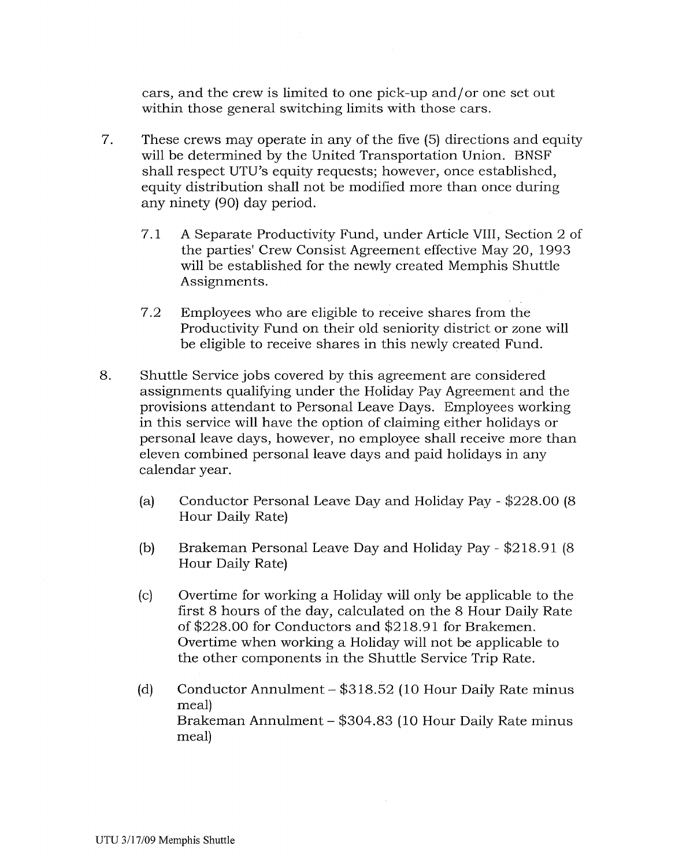cars, and the crew is limited to one pick-up and/ or one set out within those general switching limits with those cars.

- 7. These crews may operate in any of the five (5) directions and equity will be determined by the United Transportation Union. BNSF shall respect UTU's equity requests; however, once established, equity distribution shall not be modified more than once during any ninety (90) day period.
	- 7.1 A Separate Productivity Fund, under Article VIII, Section 2 of the parties' Crew Consist Agreement effective May 20, 1993 will be established for the newly created Memphis Shuttle Assignments.
	- 7.2 Employees who are eligible to receive shares from the Productivity Fund on their old seniority district or zone will be eligible to receive shares in this newly created Fund.
- 8. Shuttle Service jobs covered by this agreement are considered assignments qualifying under the Holiday Pay Agreement and the provisions attendant to Personal Leave Days. Employees working in this service will have the option of claiming either holidays or personal leave days, however, no employee shall receive more than eleven combined personal leave days and paid holidays in any calendar year.
	- (a) Conductor Personal Leave Day and Holiday Pay- \$228.00 (8 Hour Daily Rate)
	- (b) Brakeman Personal Leave Day and Holiday Pay- \$218.91 (8 Hour Daily Rate)
	- (c) Overtime for working a Holiday will only be applicable to the first 8 hours of the day, calculated on the 8 Hour Daily Rate of\$228.00 for Conductors and \$218.91 for Brakemen. Overtime when working a Holiday will not be applicable to the other components in the Shuttle Service Trip Rate.
	- (d) Conductor Annulment- \$318.52 (10 Hour Daily Rate minus meal) Brakeman Annulment- \$304.83 (10 Hour Daily Rate minus meal)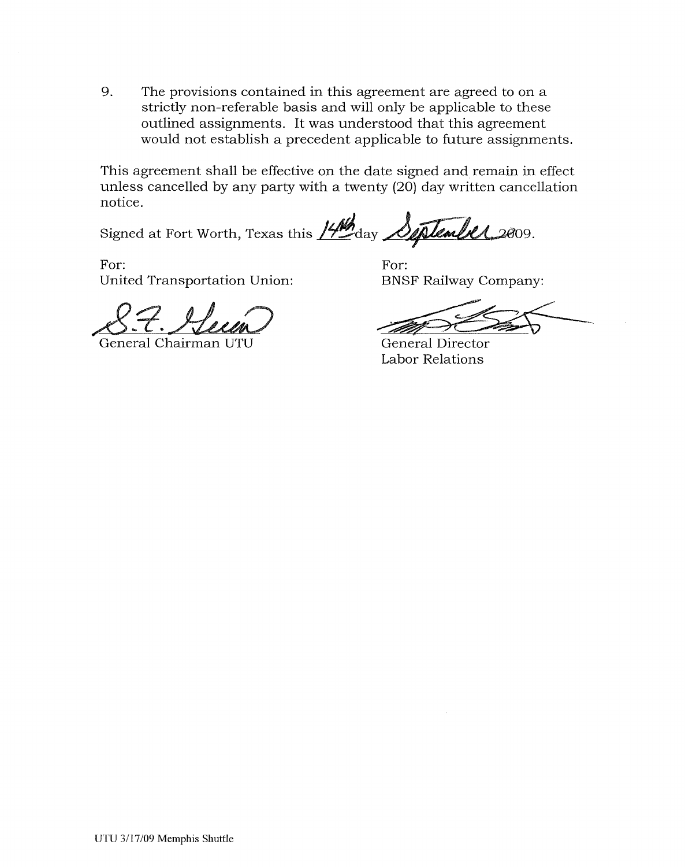9. The provisions contained in this agreement are agreed to on a strictly non-referable basis and will only be applicable to these outlined assignments. It was understood that this agreement would not establish a precedent applicable to future assignments.

This agreement shall be effective on the date signed and remain in effect unless cancelled by any party with a twenty (20) day written cancellation notice.

Signed at Fort Worth, Texas this 14th day September 2009.

For: United Transportation Union:

8.7. Heun

General Chairman UTU

For: BNSF Railway Company:

General Director Labor Relations